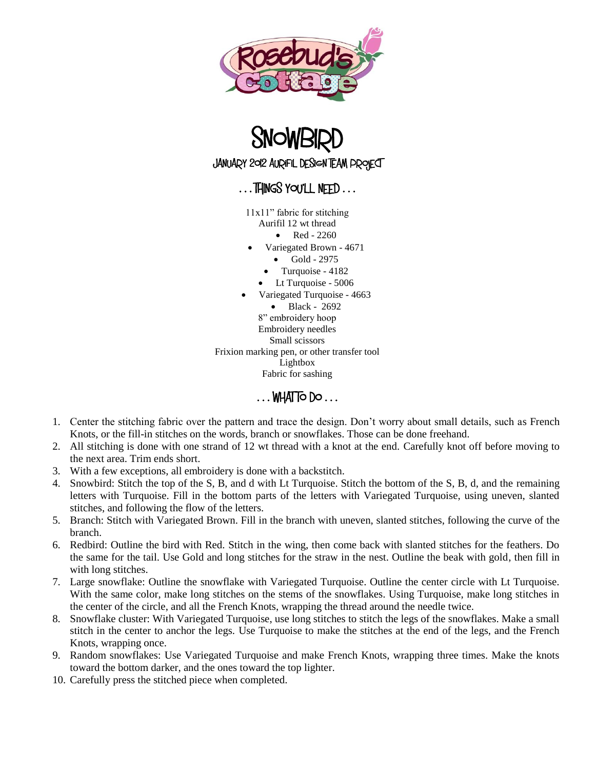



## $\ldots$  THINGS YOU'LL NEED  $\ldots$

11x11" fabric for stitching Aurifil 12 wt thread

- $\bullet$  Red 2260
- 
- Variegated Brown 4671 Gold - 2975
	- Turquoise 4182
	-
- Lt Turquoise 5006
- Variegated Turquoise 4663

 Black - 2692 8" embroidery hoop Embroidery needles Small scissors Frixion marking pen, or other transfer tool Lightbox Fabric for sashing

 $\ldots$  WHAT TO DO  $\ldots$ 

- 1. Center the stitching fabric over the pattern and trace the design. Don't worry about small details, such as French Knots, or the fill-in stitches on the words, branch or snowflakes. Those can be done freehand.
- 2. All stitching is done with one strand of 12 wt thread with a knot at the end. Carefully knot off before moving to the next area. Trim ends short.
- 3. With a few exceptions, all embroidery is done with a backstitch.
- 4. Snowbird: Stitch the top of the S, B, and d with Lt Turquoise. Stitch the bottom of the S, B, d, and the remaining letters with Turquoise. Fill in the bottom parts of the letters with Variegated Turquoise, using uneven, slanted stitches, and following the flow of the letters.
- 5. Branch: Stitch with Variegated Brown. Fill in the branch with uneven, slanted stitches, following the curve of the branch.
- 6. Redbird: Outline the bird with Red. Stitch in the wing, then come back with slanted stitches for the feathers. Do the same for the tail. Use Gold and long stitches for the straw in the nest. Outline the beak with gold, then fill in with long stitches.
- 7. Large snowflake: Outline the snowflake with Variegated Turquoise. Outline the center circle with Lt Turquoise. With the same color, make long stitches on the stems of the snowflakes. Using Turquoise, make long stitches in the center of the circle, and all the French Knots, wrapping the thread around the needle twice.
- 8. Snowflake cluster: With Variegated Turquoise, use long stitches to stitch the legs of the snowflakes. Make a small stitch in the center to anchor the legs. Use Turquoise to make the stitches at the end of the legs, and the French Knots, wrapping once.
- 9. Random snowflakes: Use Variegated Turquoise and make French Knots, wrapping three times. Make the knots toward the bottom darker, and the ones toward the top lighter.
- 10. Carefully press the stitched piece when completed.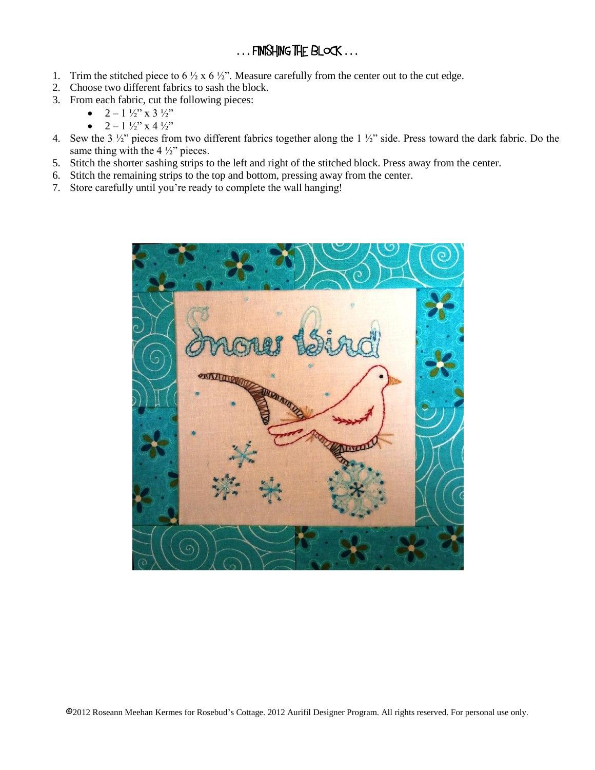## ... FINISHING THE BLOCK ...

- 1. Trim the stitched piece to  $6\frac{1}{2}x 6\frac{1}{2}x$ . Measure carefully from the center out to the cut edge.
- 2. Choose two different fabrics to sash the block.
- 3. From each fabric, cut the following pieces:
	- $2 1 \frac{1}{2}$  x 3  $\frac{1}{2}$ "
	- $2 1 \frac{1}{2}$  x 4  $\frac{1}{2}$
- 4. Sew the 3 ½" pieces from two different fabrics together along the 1 ½" side. Press toward the dark fabric. Do the same thing with the 4  $\frac{1}{2}$ " pieces.
- 5. Stitch the shorter sashing strips to the left and right of the stitched block. Press away from the center.
- 6. Stitch the remaining strips to the top and bottom, pressing away from the center.
- 7. Store carefully until you're ready to complete the wall hanging!